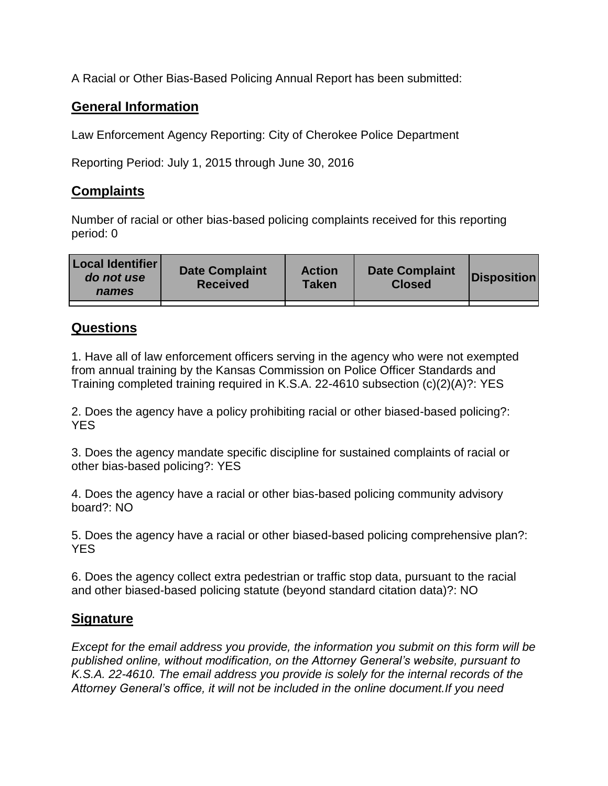A Racial or Other Bias-Based Policing Annual Report has been submitted:

## **General Information**

Law Enforcement Agency Reporting: City of Cherokee Police Department

Reporting Period: July 1, 2015 through June 30, 2016

## **Complaints**

Number of racial or other bias-based policing complaints received for this reporting period: 0

| <b>Local Identifier</b><br>do not use<br>names | <b>Date Complaint</b><br><b>Received</b> | <b>Action</b><br><b>Taken</b> | <b>Date Complaint</b><br><b>Closed</b> | Disposition |
|------------------------------------------------|------------------------------------------|-------------------------------|----------------------------------------|-------------|
|                                                |                                          |                               |                                        |             |

## **Questions**

1. Have all of law enforcement officers serving in the agency who were not exempted from annual training by the Kansas Commission on Police Officer Standards and Training completed training required in K.S.A. 22-4610 subsection (c)(2)(A)?: YES

2. Does the agency have a policy prohibiting racial or other biased-based policing?: YES

3. Does the agency mandate specific discipline for sustained complaints of racial or other bias-based policing?: YES

4. Does the agency have a racial or other bias-based policing community advisory board?: NO

5. Does the agency have a racial or other biased-based policing comprehensive plan?: YES

6. Does the agency collect extra pedestrian or traffic stop data, pursuant to the racial and other biased-based policing statute (beyond standard citation data)?: NO

## **Signature**

*Except for the email address you provide, the information you submit on this form will be published online, without modification, on the Attorney General's website, pursuant to K.S.A. 22-4610. The email address you provide is solely for the internal records of the Attorney General's office, it will not be included in the online document.If you need*